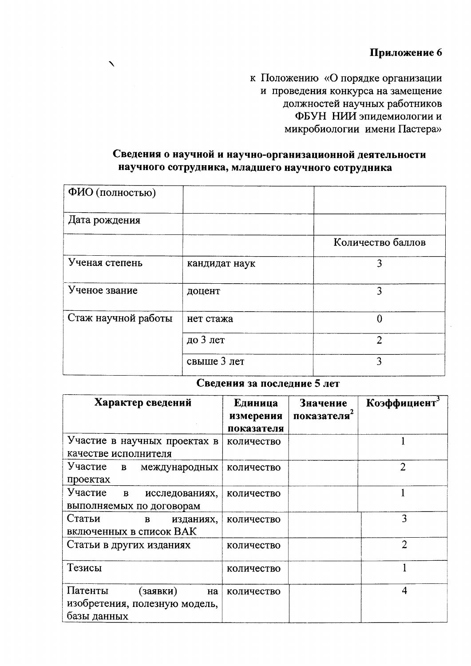к Положению «О порядке организации и проведения конкурса на замещение должностей научных работников ФБУН НИИ эпидемиологии и микробиологии имени Пастера»

## Сведения о научной и научно-организационной деятельности научного сотрудника, младшего научного сотрудника

 $\boldsymbol{\lambda}$ 

| ФИО (полностью)     |               |                   |
|---------------------|---------------|-------------------|
| Дата рождения       |               |                   |
|                     |               | Количество баллов |
| Ученая степень      | кандидат наук | 3                 |
| Ученое звание       | доцент        | 3                 |
| Стаж научной работы | нет стажа     | 0                 |
|                     | до 3 лет      | $\overline{2}$    |
|                     | свыше 3 лет   | 3                 |

## Сведения за последние 5 лет

| Характер сведений                                                         | Единица<br>измерения<br>показателя | Значение<br>показателя | Коэффициент    |
|---------------------------------------------------------------------------|------------------------------------|------------------------|----------------|
| Участие в научных проектах в<br>качестве исполнителя                      | количество                         |                        |                |
| Участие<br>B<br>международных<br>проектах                                 | количество                         |                        | $\overline{2}$ |
| Участие<br>$\bf{B}$<br>исследованиях,<br>выполняемых по договорам         | количество                         |                        |                |
| Статьи<br>изданиях,<br>B<br>включенных в список ВАК                       | количество                         |                        | 3              |
| Статьи в других изданиях                                                  | количество                         |                        | $\overline{2}$ |
| Тезисы                                                                    | количество                         |                        |                |
| Патенты<br>(заявки)<br>Ha<br>изобретения, полезную модель,<br>базы данных | количество                         |                        | 4              |